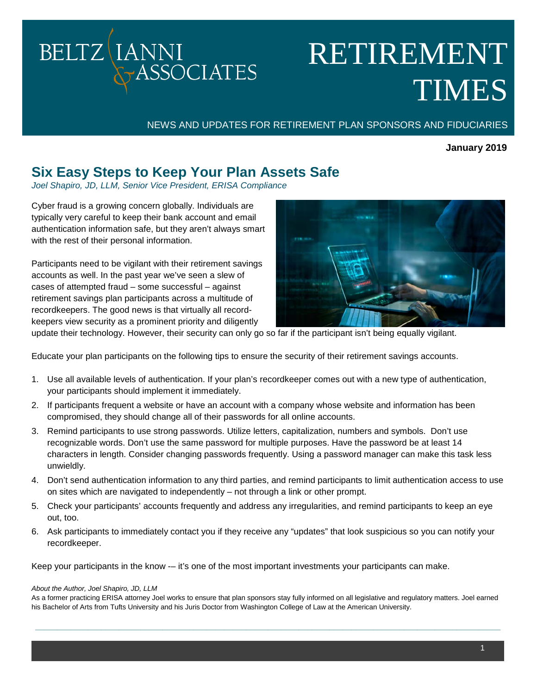## **BELTZ** IANNI **ASSOCIATES**

# RETIREMENT TIMES

NEWS AND UPDATES FOR RETIREMENT PLAN SPONSORS AND FIDUCIARIES

## **January 2019**

## **Six Easy Steps to Keep Your Plan Assets Safe**

*Joel Shapiro, JD, LLM, Senior Vice President, ERISA Compliance*

Cyber fraud is a growing concern globally. Individuals are typically very careful to keep their bank account and email authentication information safe, but they aren't always smart with the rest of their personal information.

Participants need to be vigilant with their retirement savings accounts as well. In the past year we've seen a slew of cases of attempted fraud – some successful – against retirement savings plan participants across a multitude of recordkeepers. The good news is that virtually all recordkeepers view security as a prominent priority and diligently



update their technology. However, their security can only go so far if the participant isn't being equally vigilant.

Educate your plan participants on the following tips to ensure the security of their retirement savings accounts.

- 1. Use all available levels of authentication. If your plan's recordkeeper comes out with a new type of authentication, your participants should implement it immediately.
- 2. If participants frequent a website or have an account with a company whose website and information has been compromised, they should change all of their passwords for all online accounts.
- 3. Remind participants to use strong passwords. Utilize letters, capitalization, numbers and symbols. Don't use recognizable words. Don't use the same password for multiple purposes. Have the password be at least 14 characters in length. Consider changing passwords frequently. Using a password manager can make this task less unwieldly.
- 4. Don't send authentication information to any third parties, and remind participants to limit authentication access to use on sites which are navigated to independently – not through a link or other prompt.
- 5. Check your participants' accounts frequently and address any irregularities, and remind participants to keep an eye out, too.
- 6. Ask participants to immediately contact you if they receive any "updates" that look suspicious so you can notify your recordkeeper.

Keep your participants in the know -– it's one of the most important investments your participants can make.

#### *About the Author, Joel Shapiro, JD, LLM*

As a former practicing ERISA attorney Joel works to ensure that plan sponsors stay fully informed on all legislative and regulatory matters. Joel earned his Bachelor of Arts from Tufts University and his Juris Doctor from Washington College of Law at the American University.

**\_\_\_\_\_\_\_\_\_\_\_\_\_\_\_\_\_\_\_\_\_\_\_\_\_\_\_\_\_\_\_\_\_\_\_\_\_\_\_\_\_\_\_\_\_\_\_\_\_\_\_\_\_\_\_\_\_\_\_\_\_\_\_\_\_\_\_\_\_\_\_\_\_\_\_\_\_\_\_\_\_\_\_\_\_\_\_\_\_\_\_\_\_\_\_\_\_\_\_\_\_\_\_\_\_\_**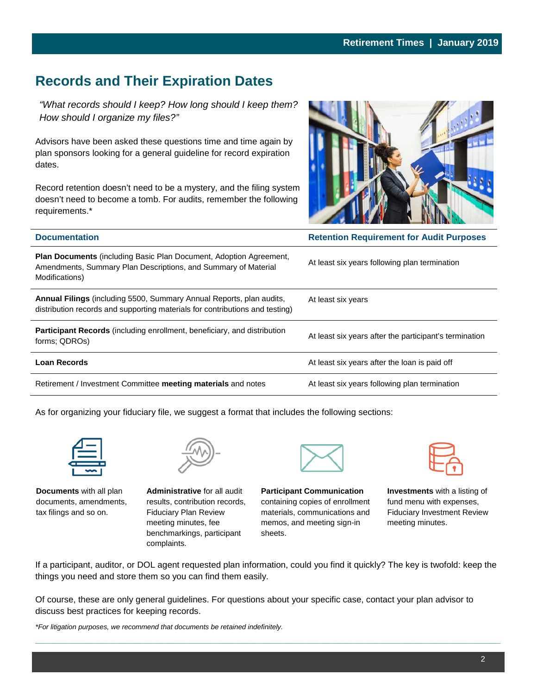## **Records and Their Expiration Dates**

*"What records should I keep? How long should I keep them? How should I organize my files?"*

Advisors have been asked these questions time and time again by plan sponsors looking for a general guideline for record expiration dates.

Record retention doesn't need to be a mystery, and the filing system doesn't need to become a tomb. For audits, remember the following requirements.\*



| <b>Documentation</b>                                                                                                                                          | <b>Retention Requirement for Audit Purposes</b>        |  |
|---------------------------------------------------------------------------------------------------------------------------------------------------------------|--------------------------------------------------------|--|
| <b>Plan Documents</b> (including Basic Plan Document, Adoption Agreement,<br>Amendments, Summary Plan Descriptions, and Summary of Material<br>Modifications) | At least six years following plan termination          |  |
| Annual Filings (including 5500, Summary Annual Reports, plan audits,<br>distribution records and supporting materials for contributions and testing)          | At least six years                                     |  |
| <b>Participant Records</b> (including enrollment, beneficiary, and distribution<br>forms; QDROs)                                                              | At least six years after the participant's termination |  |
| <b>Loan Records</b>                                                                                                                                           | At least six years after the loan is paid off          |  |
| Retirement / Investment Committee meeting materials and notes                                                                                                 | At least six years following plan termination          |  |

As for organizing your fiduciary file, we suggest a format that includes the following sections:



**Documents** with all plan documents, amendments, tax filings and so on.



**Administrative** for all audit results, contribution records, Fiduciary Plan Review meeting minutes, fee benchmarkings, participant complaints.

**Participant Communication** containing copies of enrollment materials, communications and memos, and meeting sign-in sheets.

**Investments** with a listing of fund menu with expenses, Fiduciary Investment Review meeting minutes.

If a participant, auditor, or DOL agent requested plan information, could you find it quickly? The key is twofold: keep the things you need and store them so you can find them easily.

**\_\_\_\_\_\_\_\_\_\_\_\_\_\_\_\_\_\_\_\_\_\_\_\_\_\_\_\_\_\_\_\_\_\_\_\_\_\_\_\_\_\_\_\_\_\_\_\_\_\_\_\_\_\_\_\_\_\_\_\_\_\_\_\_\_\_\_\_\_\_\_\_\_\_\_\_\_\_\_\_\_\_\_\_\_\_\_\_\_\_\_\_\_\_\_\_\_\_\_\_\_\_\_\_\_\_**

Of course, these are only general guidelines. For questions about your specific case, contact your plan advisor to discuss best practices for keeping records.

*\*For litigation purposes, we recommend that documents be retained indefinitely.*

2